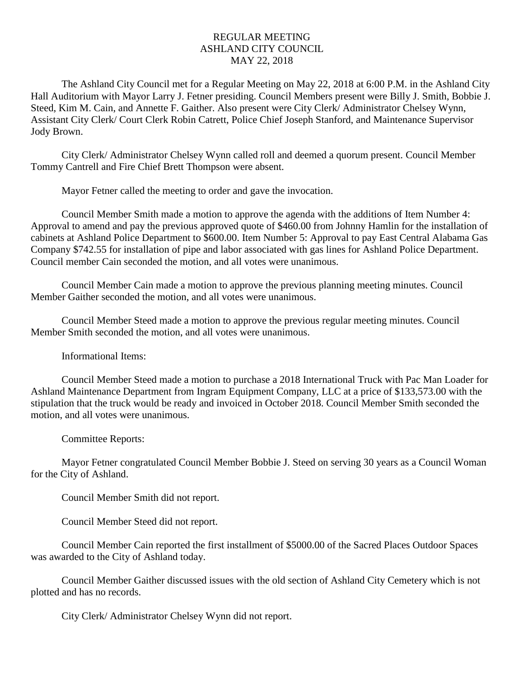## REGULAR MEETING ASHLAND CITY COUNCIL MAY 22, 2018

The Ashland City Council met for a Regular Meeting on May 22, 2018 at 6:00 P.M. in the Ashland City Hall Auditorium with Mayor Larry J. Fetner presiding. Council Members present were Billy J. Smith, Bobbie J. Steed, Kim M. Cain, and Annette F. Gaither. Also present were City Clerk/ Administrator Chelsey Wynn, Assistant City Clerk/ Court Clerk Robin Catrett, Police Chief Joseph Stanford, and Maintenance Supervisor Jody Brown.

City Clerk/ Administrator Chelsey Wynn called roll and deemed a quorum present. Council Member Tommy Cantrell and Fire Chief Brett Thompson were absent.

Mayor Fetner called the meeting to order and gave the invocation.

Council Member Smith made a motion to approve the agenda with the additions of Item Number 4: Approval to amend and pay the previous approved quote of \$460.00 from Johnny Hamlin for the installation of cabinets at Ashland Police Department to \$600.00. Item Number 5: Approval to pay East Central Alabama Gas Company \$742.55 for installation of pipe and labor associated with gas lines for Ashland Police Department. Council member Cain seconded the motion, and all votes were unanimous.

Council Member Cain made a motion to approve the previous planning meeting minutes. Council Member Gaither seconded the motion, and all votes were unanimous.

Council Member Steed made a motion to approve the previous regular meeting minutes. Council Member Smith seconded the motion, and all votes were unanimous.

Informational Items:

Council Member Steed made a motion to purchase a 2018 International Truck with Pac Man Loader for Ashland Maintenance Department from Ingram Equipment Company, LLC at a price of \$133,573.00 with the stipulation that the truck would be ready and invoiced in October 2018. Council Member Smith seconded the motion, and all votes were unanimous.

Committee Reports:

Mayor Fetner congratulated Council Member Bobbie J. Steed on serving 30 years as a Council Woman for the City of Ashland.

Council Member Smith did not report.

Council Member Steed did not report.

Council Member Cain reported the first installment of \$5000.00 of the Sacred Places Outdoor Spaces was awarded to the City of Ashland today.

Council Member Gaither discussed issues with the old section of Ashland City Cemetery which is not plotted and has no records.

City Clerk/ Administrator Chelsey Wynn did not report.